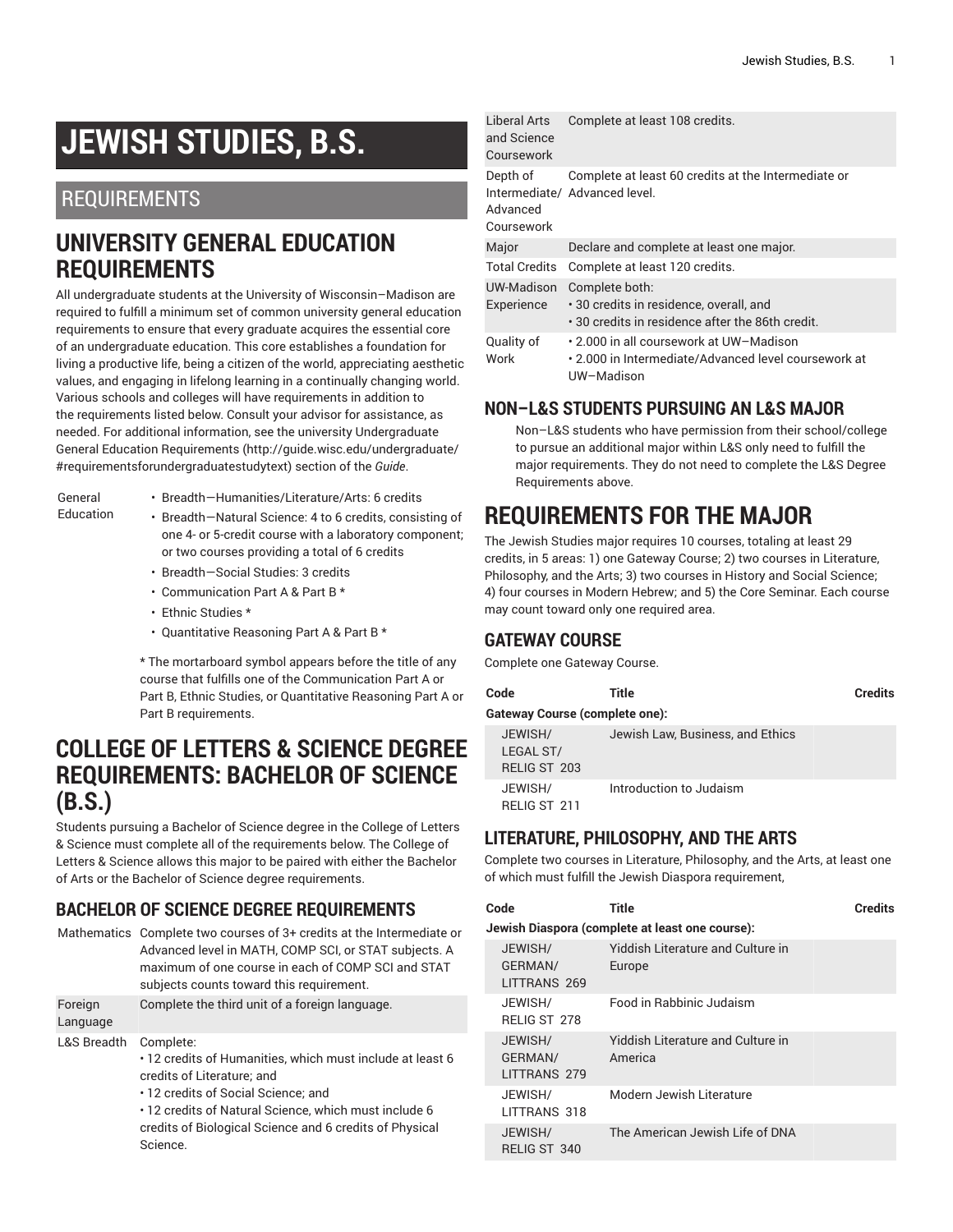# **JEWISH STUDIES, B.S.**

### REQUIREMENTS

### **UNIVERSITY GENERAL EDUCATION REQUIREMENTS**

All undergraduate students at the University of Wisconsin–Madison are required to fulfill a minimum set of common university general education requirements to ensure that every graduate acquires the essential core of an undergraduate education. This core establishes a foundation for living a productive life, being a citizen of the world, appreciating aesthetic values, and engaging in lifelong learning in a continually changing world. Various schools and colleges will have requirements in addition to the requirements listed below. Consult your advisor for assistance, as needed. For additional information, see the university Undergraduate General Education [Requirements](http://guide.wisc.edu/undergraduate/#requirementsforundergraduatestudytext) ([http://guide.wisc.edu/undergraduate/](http://guide.wisc.edu/undergraduate/#requirementsforundergraduatestudytext) [#requirementsforundergraduatestudytext](http://guide.wisc.edu/undergraduate/#requirementsforundergraduatestudytext)) section of the *Guide*.

General Education

- Breadth—Humanities/Literature/Arts: 6 credits
- Breadth—Natural Science: 4 to 6 credits, consisting of one 4- or 5-credit course with a laboratory component; or two courses providing a total of 6 credits
	- Breadth—Social Studies: 3 credits
	- Communication Part A & Part B \*
	- Ethnic Studies \*
	- Quantitative Reasoning Part A & Part B \*

\* The mortarboard symbol appears before the title of any course that fulfills one of the Communication Part A or Part B, Ethnic Studies, or Quantitative Reasoning Part A or Part B requirements.

### **COLLEGE OF LETTERS & SCIENCE DEGREE REQUIREMENTS: BACHELOR OF SCIENCE (B.S.)**

Students pursuing a Bachelor of Science degree in the College of Letters & Science must complete all of the requirements below. The College of Letters & Science allows this major to be paired with either the Bachelor of Arts or the Bachelor of Science degree requirements.

#### **BACHELOR OF SCIENCE DEGREE REQUIREMENTS**

|                     | Mathematics Complete two courses of 3+ credits at the Intermediate or<br>Advanced level in MATH, COMP SCI, or STAT subjects. A<br>maximum of one course in each of COMP SCI and STAT<br>subjects counts toward this requirement. |
|---------------------|----------------------------------------------------------------------------------------------------------------------------------------------------------------------------------------------------------------------------------|
| Foreign<br>Language | Complete the third unit of a foreign language.                                                                                                                                                                                   |
| L&S Breadth         | Complete:<br>. 12 credits of Humanities, which must include at least 6<br>credits of Literature; and<br>• 12 credits of Social Science: and<br>. 12 credite of Natural Science, which must include 6                             |

• 12 credits of Natural Science, which must include 6 credits of Biological Science and 6 credits of Physical Science.

|  | Liberal Arts<br>and Science<br>Coursework | Complete at least 108 credits.                                                                                |
|--|-------------------------------------------|---------------------------------------------------------------------------------------------------------------|
|  | Depth of<br>Advanced<br>Coursework        | Complete at least 60 credits at the Intermediate or<br>Intermediate/ Advanced level.                          |
|  | Major                                     | Declare and complete at least one major.                                                                      |
|  | <b>Total Credits</b>                      | Complete at least 120 credits.                                                                                |
|  | UW-Madison<br>Experience                  | Complete both:<br>• 30 credits in residence, overall, and<br>. 30 credits in residence after the 86th credit. |
|  | Quality of<br>Work                        | • 2.000 in all coursework at UW−Madison<br>• 2.000 in Intermediate/Advanced level coursework at<br>UW-Madison |

#### **NON–L&S STUDENTS PURSUING AN L&S MAJOR**

Non–L&S students who have permission from their school/college to pursue an additional major within L&S only need to fulfill the major requirements. They do not need to complete the L&S Degree Requirements above.

# **REQUIREMENTS FOR THE MAJOR**

The Jewish Studies major requires 10 courses, totaling at least 29 credits, in 5 areas: 1) one Gateway Course; 2) two courses in Literature, Philosophy, and the Arts; 3) two courses in History and Social Science; 4) four courses in Modern Hebrew; and 5) the Core Seminar. Each course may count toward only one required area.

#### **GATEWAY COURSE**

Complete one Gateway Course.

| Code                                        | Title                            | <b>Credits</b> |
|---------------------------------------------|----------------------------------|----------------|
| <b>Gateway Course (complete one):</b>       |                                  |                |
| JEWISH/<br>LEGAL ST/<br><b>RELIG ST 203</b> | Jewish Law, Business, and Ethics |                |
| JEWISH/<br>RELIG ST 211                     | Introduction to Judaism          |                |

#### **LITERATURE, PHILOSOPHY, AND THE ARTS**

Complete two courses in Literature, Philosophy, and the Arts, at least one of which must fulfill the Jewish Diaspora requirement,

| Code                               | Title                                           | <b>Credits</b> |
|------------------------------------|-------------------------------------------------|----------------|
|                                    | Jewish Diaspora (complete at least one course): |                |
| JEWISH/<br>GERMAN/<br>LITTRANS 269 | Yiddish Literature and Culture in<br>Europe     |                |
| JEWISH/<br><b>RELIG ST 278</b>     | Food in Rabbinic Judaism                        |                |
| JEWISH/<br>GERMAN/<br>LITTRANS 279 | Yiddish Literature and Culture in<br>America    |                |
| JEWISH/<br>LITTRANS 318            | Modern Jewish Literature                        |                |
| JEWISH/<br>RELIG ST 340            | The American Jewish Life of DNA                 |                |
|                                    |                                                 |                |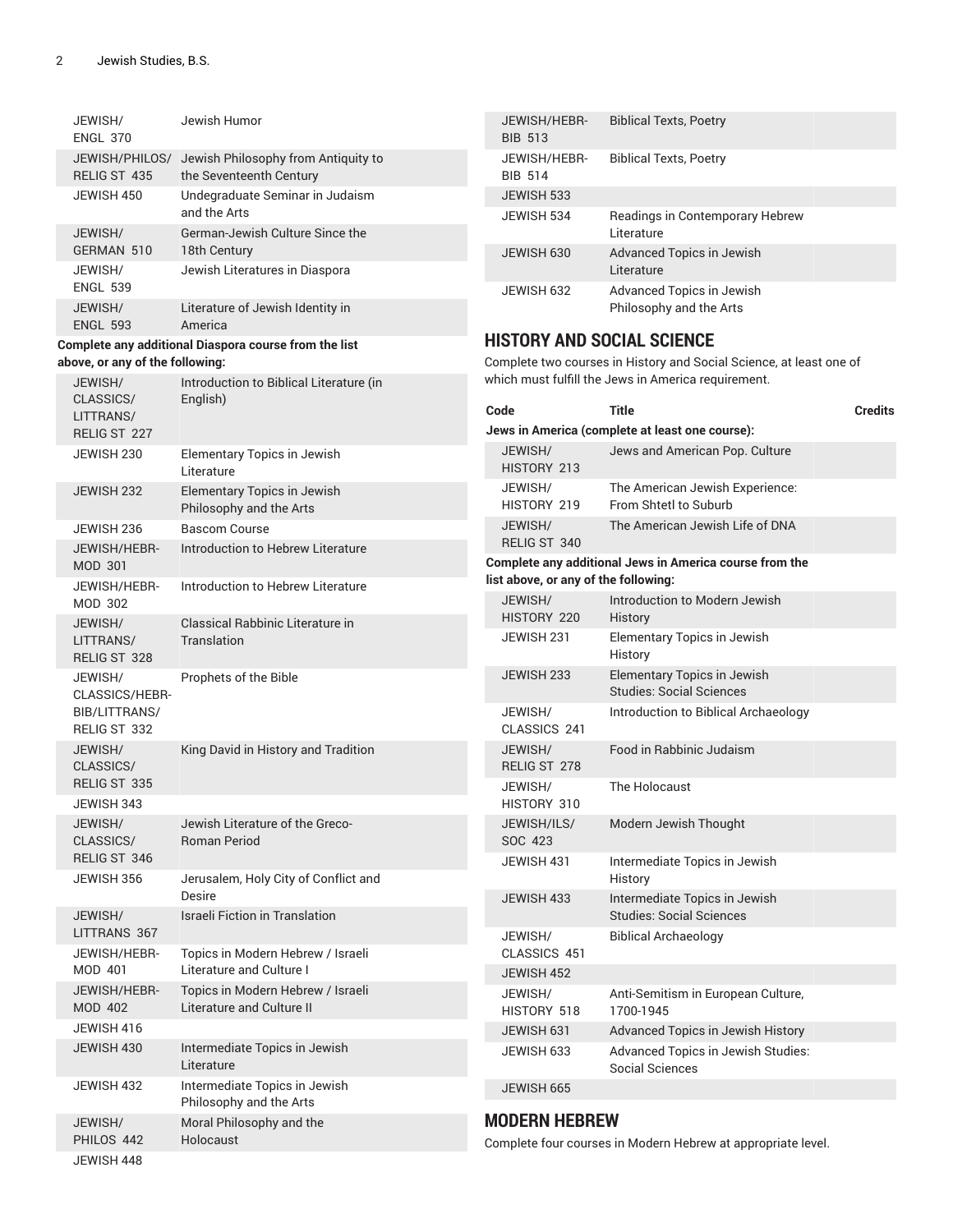| JEWISH/<br><b>ENGL 370</b>      | Jewish Humor                                                   | JEWISH/HEBR-<br><b>BIB 513</b>       | <b>Biblical Texts, Poetry</b>                                         |  |
|---------------------------------|----------------------------------------------------------------|--------------------------------------|-----------------------------------------------------------------------|--|
| JEWISH/PHILOS/<br>RELIG ST 435  | Jewish Philosophy from Antiquity to<br>the Seventeenth Century | JEWISH/HEBR-<br><b>BIB 514</b>       | <b>Biblical Texts, Poetry</b>                                         |  |
| JEWISH 450                      | Undegraduate Seminar in Judaism                                | JEWISH 533                           |                                                                       |  |
| JEWISH/                         | and the Arts<br>German-Jewish Culture Since the                | JEWISH 534                           | Readings in Contemporary Hebrew<br>Literature                         |  |
| GERMAN 510<br>JEWISH/           | 18th Century<br>Jewish Literatures in Diaspora                 | JEWISH 630                           | Advanced Topics in Jewish<br>Literature                               |  |
| <b>ENGL 539</b>                 |                                                                | JEWISH 632                           | Advanced Topics in Jewish                                             |  |
| JEWISH/<br><b>ENGL 593</b>      | Literature of Jewish Identity in<br>America                    |                                      | Philosophy and the Arts                                               |  |
|                                 | Complete any additional Diaspora course from the list          | <b>HISTORY AND SOCIAL SCIENCE</b>    |                                                                       |  |
| above, or any of the following: |                                                                |                                      | Complete two courses in History and Social Science, at least one of   |  |
| JEWISH/                         | Introduction to Biblical Literature (in                        |                                      | which must fulfill the Jews in America requirement.                   |  |
| CLASSICS/<br>LITTRANS/          | English)                                                       | Code                                 | <b>Title</b><br><b>Credits</b>                                        |  |
| RELIG ST 227                    |                                                                |                                      | Jews in America (complete at least one course):                       |  |
| JEWISH 230                      | Elementary Topics in Jewish                                    | JEWISH/                              | Jews and American Pop. Culture                                        |  |
|                                 | Literature                                                     | HISTORY 213                          |                                                                       |  |
| JEWISH 232                      | Elementary Topics in Jewish<br>Philosophy and the Arts         | JEWISH/<br>HISTORY 219               | The American Jewish Experience:<br>From Shtetl to Suburb              |  |
| JEWISH 236                      | <b>Bascom Course</b>                                           | JEWISH/                              | The American Jewish Life of DNA                                       |  |
| JEWISH/HEBR-                    | Introduction to Hebrew Literature                              | RELIG ST 340                         |                                                                       |  |
| <b>MOD 301</b>                  |                                                                | list above, or any of the following: | Complete any additional Jews in America course from the               |  |
| JEWISH/HEBR-<br><b>MOD 302</b>  | Introduction to Hebrew Literature                              | JEWISH/<br>HISTORY 220               | Introduction to Modern Jewish<br>History                              |  |
| JEWISH/<br>LITTRANS/            | Classical Rabbinic Literature in<br>Translation                | JEWISH 231                           | Elementary Topics in Jewish                                           |  |
| RELIG ST 328                    |                                                                |                                      | History                                                               |  |
| JEWISH/<br>CLASSICS/HEBR-       | Prophets of the Bible                                          | JEWISH 233                           | <b>Elementary Topics in Jewish</b><br><b>Studies: Social Sciences</b> |  |
| BIB/LITTRANS/<br>RELIG ST 332   |                                                                | JEWISH/<br>CLASSICS 241              | Introduction to Biblical Archaeology                                  |  |
| JEWISH/                         | King David in History and Tradition                            | JEWISH/                              | Food in Rabbinic Judaism                                              |  |
| CLASSICS/<br>RELIG ST 335       |                                                                | RELIG ST 278<br>JEWISH/              | The Holocaust                                                         |  |
| JEWISH 343                      |                                                                | HISTORY 310                          |                                                                       |  |
| JEWISH/<br>CLASSICS/            | Jewish Literature of the Greco-<br>Roman Period                | JEWISH/ILS/<br>SOC 423               | Modern Jewish Thought                                                 |  |
| RELIG ST 346                    |                                                                | JEWISH 431                           | Intermediate Topics in Jewish                                         |  |
| JEWISH 356                      | Jerusalem, Holy City of Conflict and                           |                                      | History                                                               |  |
|                                 | <b>Desire</b>                                                  | JEWISH 433                           | Intermediate Topics in Jewish                                         |  |
| JEWISH/<br>LITTRANS 367         | <b>Israeli Fiction in Translation</b>                          |                                      | <b>Studies: Social Sciences</b>                                       |  |
| JEWISH/HEBR-                    | Topics in Modern Hebrew / Israeli                              | JEWISH/<br>CLASSICS 451              | <b>Biblical Archaeology</b>                                           |  |
| MOD 401                         | Literature and Culture I                                       | JEWISH 452                           |                                                                       |  |
| JEWISH/HEBR-                    | Topics in Modern Hebrew / Israeli                              | JEWISH/                              | Anti-Semitism in European Culture,                                    |  |
| <b>MOD 402</b>                  | Literature and Culture II                                      | HISTORY 518                          | 1700-1945                                                             |  |
| JEWISH 416                      |                                                                | JEWISH 631                           | Advanced Topics in Jewish History                                     |  |
| JEWISH 430                      | Intermediate Topics in Jewish<br>Literature                    | JEWISH 633                           | Advanced Topics in Jewish Studies:<br>Social Sciences                 |  |
| JEWISH 432                      | Intermediate Topics in Jewish<br>Philosophy and the Arts       | JEWISH 665                           |                                                                       |  |
| JEWISH/                         | Moral Philosophy and the                                       | <b>MODERN HEBREW</b>                 |                                                                       |  |
| PHILOS 442                      | Holocaust                                                      |                                      | Complete four courses in Modern Hebrew at appropriate level.          |  |
| JEWISH 448                      |                                                                |                                      |                                                                       |  |